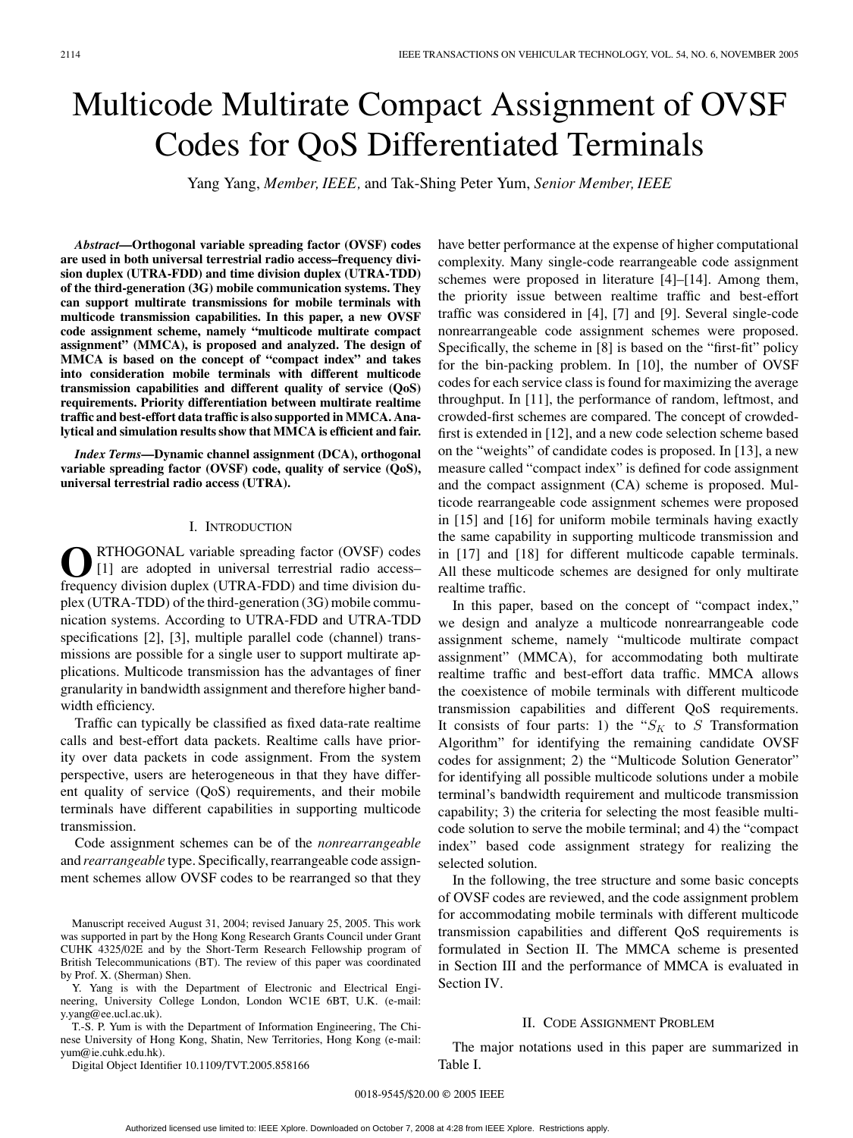# Multicode Multirate Compact Assignment of OVSF Codes for QoS Differentiated Terminals

Yang Yang, *Member, IEEE,* and Tak-Shing Peter Yum, *Senior Member, IEEE*

*Abstract***—Orthogonal variable spreading factor (OVSF) codes are used in both universal terrestrial radio access–frequency division duplex (UTRA-FDD) and time division duplex (UTRA-TDD) of the third-generation (3G) mobile communication systems. They can support multirate transmissions for mobile terminals with multicode transmission capabilities. In this paper, a new OVSF code assignment scheme, namely "multicode multirate compact assignment" (MMCA), is proposed and analyzed. The design of MMCA is based on the concept of "compact index" and takes into consideration mobile terminals with different multicode transmission capabilities and different quality of service (QoS) requirements. Priority differentiation between multirate realtime traffic and best-effort data traffic is also supported in MMCA. Analytical and simulation results show that MMCA is efficient and fair.**

*Index Terms***—Dynamic channel assignment (DCA), orthogonal variable spreading factor (OVSF) code, quality of service (QoS), universal terrestrial radio access (UTRA).**

# I. INTRODUCTION

RTHOGONAL variable spreading factor (OVSF) codes [1] are adopted in universal terrestrial radio access– frequency division duplex (UTRA-FDD) and time division duplex (UTRA-TDD) of the third-generation (3G) mobile communication systems. According to UTRA-FDD and UTRA-TDD specifications [2], [3], multiple parallel code (channel) transmissions are possible for a single user to support multirate applications. Multicode transmission has the advantages of finer granularity in bandwidth assignment and therefore higher bandwidth efficiency.

Traffic can typically be classified as fixed data-rate realtime calls and best-effort data packets. Realtime calls have priority over data packets in code assignment. From the system perspective, users are heterogeneous in that they have different quality of service (QoS) requirements, and their mobile terminals have different capabilities in supporting multicode transmission.

Code assignment schemes can be of the *nonrearrangeable* and *rearrangeable* type. Specifically, rearrangeable code assignment schemes allow OVSF codes to be rearranged so that they

Manuscript received August 31, 2004; revised January 25, 2005. This work was supported in part by the Hong Kong Research Grants Council under Grant CUHK 4325/02E and by the Short-Term Research Fellowship program of British Telecommunications (BT). The review of this paper was coordinated by Prof. X. (Sherman) Shen.

Y. Yang is with the Department of Electronic and Electrical Engineering, University College London, London WC1E 6BT, U.K. (e-mail: y.yang@ee.ucl.ac.uk).

T.-S. P. Yum is with the Department of Information Engineering, The Chinese University of Hong Kong, Shatin, New Territories, Hong Kong (e-mail: yum@ie.cuhk.edu.hk).

Digital Object Identifier 10.1109/TVT.2005.858166

have better performance at the expense of higher computational complexity. Many single-code rearrangeable code assignment schemes were proposed in literature [4]–[14]. Among them, the priority issue between realtime traffic and best-effort traffic was considered in [4], [7] and [9]. Several single-code nonrearrangeable code assignment schemes were proposed. Specifically, the scheme in [8] is based on the "first-fit" policy for the bin-packing problem. In [10], the number of OVSF codes for each service class is found for maximizing the average throughput. In [11], the performance of random, leftmost, and crowded-first schemes are compared. The concept of crowdedfirst is extended in [12], and a new code selection scheme based on the "weights" of candidate codes is proposed. In [13], a new measure called "compact index" is defined for code assignment and the compact assignment (CA) scheme is proposed. Multicode rearrangeable code assignment schemes were proposed in [15] and [16] for uniform mobile terminals having exactly the same capability in supporting multicode transmission and in [17] and [18] for different multicode capable terminals. All these multicode schemes are designed for only multirate realtime traffic.

In this paper, based on the concept of "compact index," we design and analyze a multicode nonrearrangeable code assignment scheme, namely "multicode multirate compact assignment" (MMCA), for accommodating both multirate realtime traffic and best-effort data traffic. MMCA allows the coexistence of mobile terminals with different multicode transmission capabilities and different QoS requirements. It consists of four parts: 1) the " $S_K$  to S Transformation Algorithm" for identifying the remaining candidate OVSF codes for assignment; 2) the "Multicode Solution Generator" for identifying all possible multicode solutions under a mobile terminal's bandwidth requirement and multicode transmission capability; 3) the criteria for selecting the most feasible multicode solution to serve the mobile terminal; and 4) the "compact index" based code assignment strategy for realizing the selected solution.

In the following, the tree structure and some basic concepts of OVSF codes are reviewed, and the code assignment problem for accommodating mobile terminals with different multicode transmission capabilities and different QoS requirements is formulated in Section II. The MMCA scheme is presented in Section III and the performance of MMCA is evaluated in Section IV.

## II. CODE ASSIGNMENT PROBLEM

The major notations used in this paper are summarized in Table I.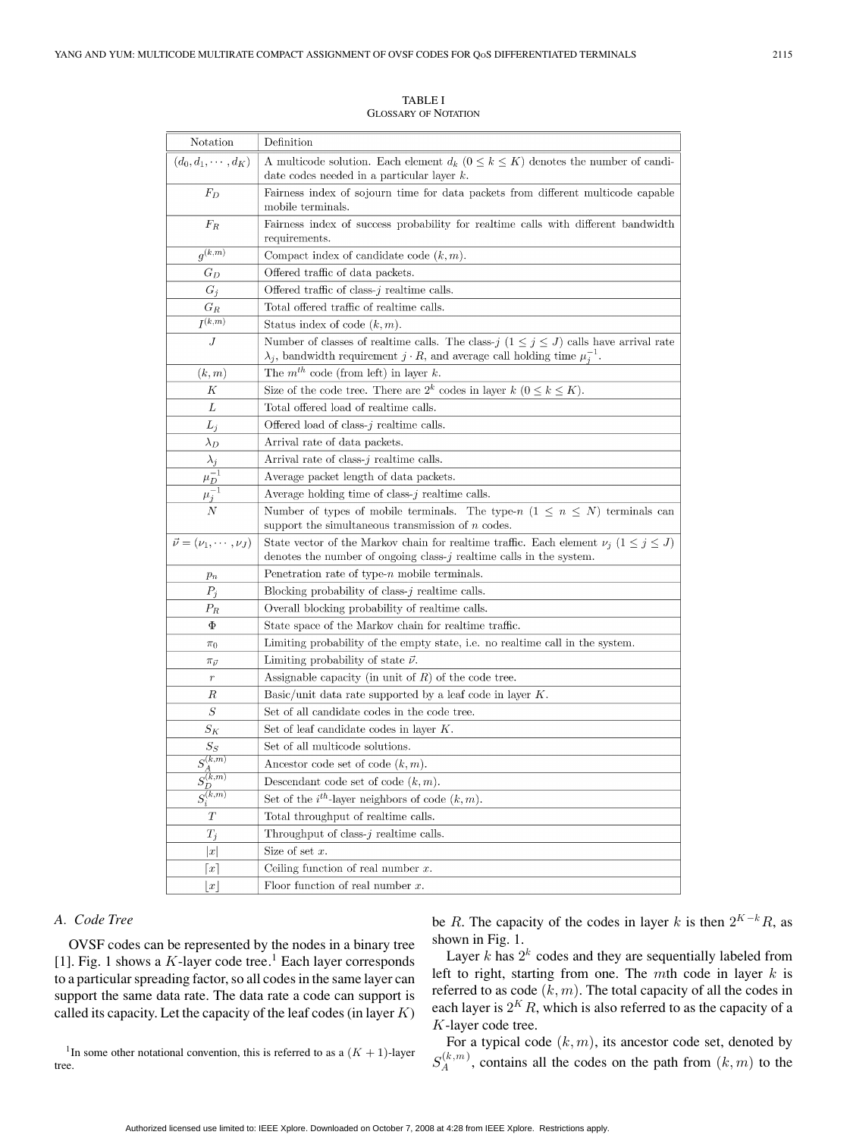TABLE I GLOSSARY OF NOTATION

| Notation                             | Definition                                                                                                                                                                                      |  |  |  |  |
|--------------------------------------|-------------------------------------------------------------------------------------------------------------------------------------------------------------------------------------------------|--|--|--|--|
| $(d_0, d_1, \cdots, d_K)$            | A multicode solution. Each element $d_k$ $(0 \leq k \leq K)$ denotes the number of candi-                                                                                                       |  |  |  |  |
|                                      | date codes needed in a particular layer $k$ .                                                                                                                                                   |  |  |  |  |
| $F_D$                                | Fairness index of sojourn time for data packets from different multicode capable                                                                                                                |  |  |  |  |
|                                      | mobile terminals.                                                                                                                                                                               |  |  |  |  |
| $F_R$                                | Fairness index of success probability for realtime calls with different bandwidth                                                                                                               |  |  |  |  |
|                                      | requirements.                                                                                                                                                                                   |  |  |  |  |
| $g^{(\overline{k,m})}$               | Compact index of candidate code $(k, m)$ .                                                                                                                                                      |  |  |  |  |
| $G_D$                                | Offered traffic of data packets.                                                                                                                                                                |  |  |  |  |
| $G_j$                                | Offered traffic of class- $j$ realtime calls.                                                                                                                                                   |  |  |  |  |
| $G_R$                                | Total offered traffic of realtime calls.                                                                                                                                                        |  |  |  |  |
| $\overline{I^{(k,m)}}$               | Status index of code $(k, m)$ .                                                                                                                                                                 |  |  |  |  |
| $\boldsymbol{J}$                     | Number of classes of realtime calls. The class- $j$ $(1 \le j \le J)$ calls have arrival rate<br>$\lambda_j$ , bandwidth requirement $j \cdot R$ , and average call holding time $\mu_j^{-1}$ . |  |  |  |  |
| (k,m)                                | The $m^{th}$ code (from left) in layer k.                                                                                                                                                       |  |  |  |  |
| К                                    | Size of the code tree. There are $2^k$ codes in layer $k$ $(0 \le k \le K)$ .                                                                                                                   |  |  |  |  |
| L                                    | Total offered load of realtime calls.                                                                                                                                                           |  |  |  |  |
| $L_j$                                | Offered load of class- $j$ realtime calls.                                                                                                                                                      |  |  |  |  |
| $\lambda_D$                          | Arrival rate of data packets.                                                                                                                                                                   |  |  |  |  |
| $\lambda_j$                          | Arrival rate of class- $j$ realtime calls.                                                                                                                                                      |  |  |  |  |
| $\frac{\mu_D^{-1}}{\mu_j^{-1}}$      | Average packet length of data packets.                                                                                                                                                          |  |  |  |  |
|                                      | Average holding time of class- $j$ realtime calls.                                                                                                                                              |  |  |  |  |
| $\overline{N}$                       | Number of types of mobile terminals. The type-n $(1 \leq n \leq N)$ terminals can                                                                                                               |  |  |  |  |
|                                      | support the simultaneous transmission of $n$ codes.                                                                                                                                             |  |  |  |  |
| $\vec{\nu} = (\nu_1, \cdots, \nu_J)$ | State vector of the Markov chain for realtime traffic. Each element $\nu_j$ $(1 \leq j \leq J)$                                                                                                 |  |  |  |  |
|                                      | denotes the number of ongoing class- $j$ realtime calls in the system.                                                                                                                          |  |  |  |  |
| $p_n$                                | Penetration rate of type- $n$ mobile terminals.                                                                                                                                                 |  |  |  |  |
| $P_j$                                | Blocking probability of class- $j$ realtime calls.                                                                                                                                              |  |  |  |  |
| $\scriptstyle P_R$                   | Overall blocking probability of realtime calls.                                                                                                                                                 |  |  |  |  |
| Φ                                    | State space of the Markov chain for realtime traffic.                                                                                                                                           |  |  |  |  |
| $\pi_0$                              | Limiting probability of the empty state, i.e. no realtime call in the system.                                                                                                                   |  |  |  |  |
| $\pi_{\vec{\nu}}$                    | Limiting probability of state $\vec{\nu}$ .                                                                                                                                                     |  |  |  |  |
| $\,r\,$                              | Assignable capacity (in unit of $R$ ) of the code tree.                                                                                                                                         |  |  |  |  |
| R                                    | Basic/unit data rate supported by a leaf code in layer $K$ .                                                                                                                                    |  |  |  |  |
| $\,S$                                | Set of all candidate codes in the code tree.                                                                                                                                                    |  |  |  |  |
| $S_K$                                | Set of leaf candidate codes in layer $K$ .                                                                                                                                                      |  |  |  |  |
| $S_S$                                | Set of all multicode solutions.                                                                                                                                                                 |  |  |  |  |
| $S_A^{(k,m)}$                        | Ancestor code set of code $(k, m)$ .                                                                                                                                                            |  |  |  |  |
| $S_D^{(k,m)}$                        | Descendant code set of code $(k, m)$ .                                                                                                                                                          |  |  |  |  |
| $S_i^{(k,m)}$                        | Set of the $i^{th}$ -layer neighbors of code $(k, m)$ .                                                                                                                                         |  |  |  |  |
| T                                    | Total throughput of realtime calls.                                                                                                                                                             |  |  |  |  |
| $T_j$                                | Throughput of class- $j$ realtime calls.                                                                                                                                                        |  |  |  |  |
| x                                    | Size of set $x$ .                                                                                                                                                                               |  |  |  |  |
| $\lceil x \rceil$                    | Ceiling function of real number $x$ .                                                                                                                                                           |  |  |  |  |
| $\lfloor x \rfloor$                  | Floor function of real number $x$ .                                                                                                                                                             |  |  |  |  |

# *A. Code Tree*

tree.

OVSF codes can be represented by the nodes in a binary tree [1]. Fig. 1 shows a  $K$ -layer code tree.<sup>1</sup> Each layer corresponds to a particular spreading factor, so all codes in the same layer can support the same data rate. The data rate a code can support is called its capacity. Let the capacity of the leaf codes (in layer  $K$ ) be R. The capacity of the codes in layer k is then  $2^{K-k}R$ , as shown in Fig. 1.

Layer  $k$  has  $2^k$  codes and they are sequentially labeled from left to right, starting from one. The mth code in layer  $k$  is referred to as code  $(k, m)$ . The total capacity of all the codes in each layer is  $2^K R$ , which is also referred to as the capacity of a K-layer code tree.

<sup>1</sup>In some other notational convention, this is referred to as a  $(K + 1)$ -layer For a typical code  $(k, m)$ , its ancestor code set, denoted by  $S_A^{(k,m)}$ , contains all the codes on the path from  $(k,m)$  to the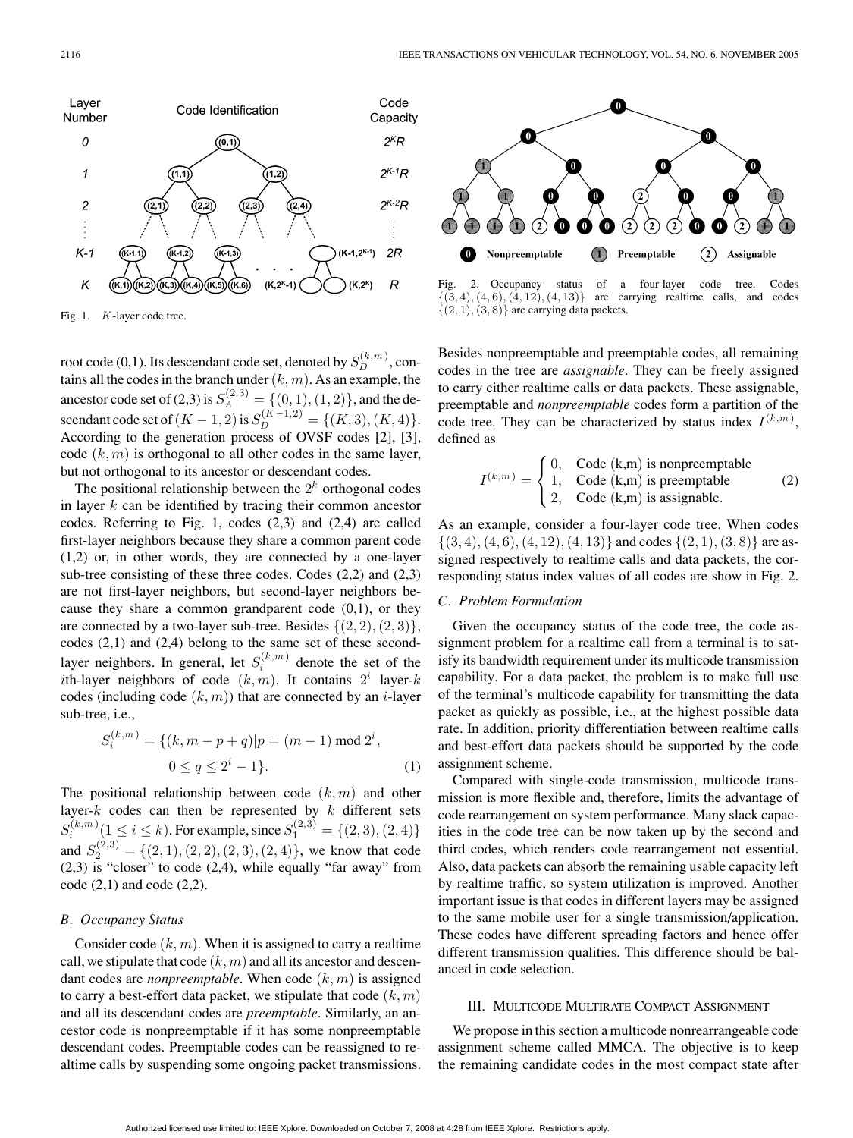

Fig. 1. K-layer code tree.

root code (0,1). Its descendant code set, denoted by  $S_D^{(k,m)}$ , contains all the codes in the branch under  $(k, m)$ . As an example, the ancestor code set of (2,3) is  $S_A^{(2,3)} = \{(0,1),(1,2)\}\text{, and the de-}$ scendant code set of  $(K-1, 2)$  is  $S_D^{(K-1, 2)} = \{(K, 3), (K, 4)\}.$ According to the generation process of OVSF codes [2], [3], code  $(k, m)$  is orthogonal to all other codes in the same layer, but not orthogonal to its ancestor or descendant codes.

The positional relationship between the  $2<sup>k</sup>$  orthogonal codes in layer  $k$  can be identified by tracing their common ancestor codes. Referring to Fig. 1, codes (2,3) and (2,4) are called first-layer neighbors because they share a common parent code (1,2) or, in other words, they are connected by a one-layer sub-tree consisting of these three codes. Codes (2,2) and (2,3) are not first-layer neighbors, but second-layer neighbors because they share a common grandparent code  $(0,1)$ , or they are connected by a two-layer sub-tree. Besides  $\{(2, 2), (2, 3)\},\$ codes (2,1) and (2,4) belong to the same set of these secondlayer neighbors. In general, let  $S_i^{(k,m)}$  denote the set of the ith-layer neighbors of code  $(k, m)$ . It contains  $2^i$  layer-k codes (including code  $(k, m)$ ) that are connected by an *i*-layer sub-tree, i.e.,

$$
S_i^{(k,m)} = \{(k, m-p+q)|p = (m-1) \bmod 2^i,
$$
  

$$
0 \le q \le 2^i - 1\}.
$$
 (1)

The positional relationship between code  $(k,m)$  and other layer- $k$  codes can then be represented by  $k$  different sets  $S_i^{(k,m)}(1 \le i \le k)$ . For example, since  $S_1^{(2,3)} = \{(2,3), (2,4)\}$ and  $S_2^{(2,3)} = \{(2,1), (2,2), (2,3), (2,4)\}\text{, we know that code}$  $(2,3)$  is "closer" to code  $(2,4)$ , while equally "far away" from  $code(2,1)$  and  $code(2,2)$ .

## *B. Occupancy Status*

Consider code  $(k, m)$ . When it is assigned to carry a realtime call, we stipulate that code  $(k, m)$  and all its ancestor and descendant codes are *nonpreemptable*. When code  $(k, m)$  is assigned to carry a best-effort data packet, we stipulate that code  $(k, m)$ and all its descendant codes are *preemptable*. Similarly, an ancestor code is nonpreemptable if it has some nonpreemptable descendant codes. Preemptable codes can be reassigned to realtime calls by suspending some ongoing packet transmissions.



Fig. 2. Occupancy status of a four-layer code tree. Codes  $\{(3, 4), (4, 6), (4, 12), (4, 13)\}$  are carrying realtime calls, and codes are carrying realtime calls, and codes  $\{(2, 1), (3, 8)\}\$ are carrying data packets.

Besides nonpreemptable and preemptable codes, all remaining codes in the tree are *assignable*. They can be freely assigned to carry either realtime calls or data packets. These assignable, preemptable and *nonpreemptable* codes form a partition of the code tree. They can be characterized by status index  $I^{(k,m)}$ , defined as

$$
I^{(k,m)} = \begin{cases} 0, & \text{Code } (\mathbf{k}, \mathbf{m}) \text{ is nonpreemptable} \\ 1, & \text{Code } (\mathbf{k}, \mathbf{m}) \text{ is preemptable} \\ 2, & \text{Code } (\mathbf{k}, \mathbf{m}) \text{ is assignable.} \end{cases} \tag{2}
$$

As an example, consider a four-layer code tree. When codes  $\{(3, 4), (4, 6), (4, 12), (4, 13)\}\$  and codes  $\{(2, 1), (3, 8)\}\$  are assigned respectively to realtime calls and data packets, the corresponding status index values of all codes are show in Fig. 2.

# *C. Problem Formulation*

Given the occupancy status of the code tree, the code assignment problem for a realtime call from a terminal is to satisfy its bandwidth requirement under its multicode transmission capability. For a data packet, the problem is to make full use of the terminal's multicode capability for transmitting the data packet as quickly as possible, i.e., at the highest possible data rate. In addition, priority differentiation between realtime calls and best-effort data packets should be supported by the code assignment scheme.

Compared with single-code transmission, multicode transmission is more flexible and, therefore, limits the advantage of code rearrangement on system performance. Many slack capacities in the code tree can be now taken up by the second and third codes, which renders code rearrangement not essential. Also, data packets can absorb the remaining usable capacity left by realtime traffic, so system utilization is improved. Another important issue is that codes in different layers may be assigned to the same mobile user for a single transmission/application. These codes have different spreading factors and hence offer different transmission qualities. This difference should be balanced in code selection.

# III. MULTICODE MULTIRATE COMPACT ASSIGNMENT

We propose in this section a multicode nonrearrangeable code assignment scheme called MMCA. The objective is to keep the remaining candidate codes in the most compact state after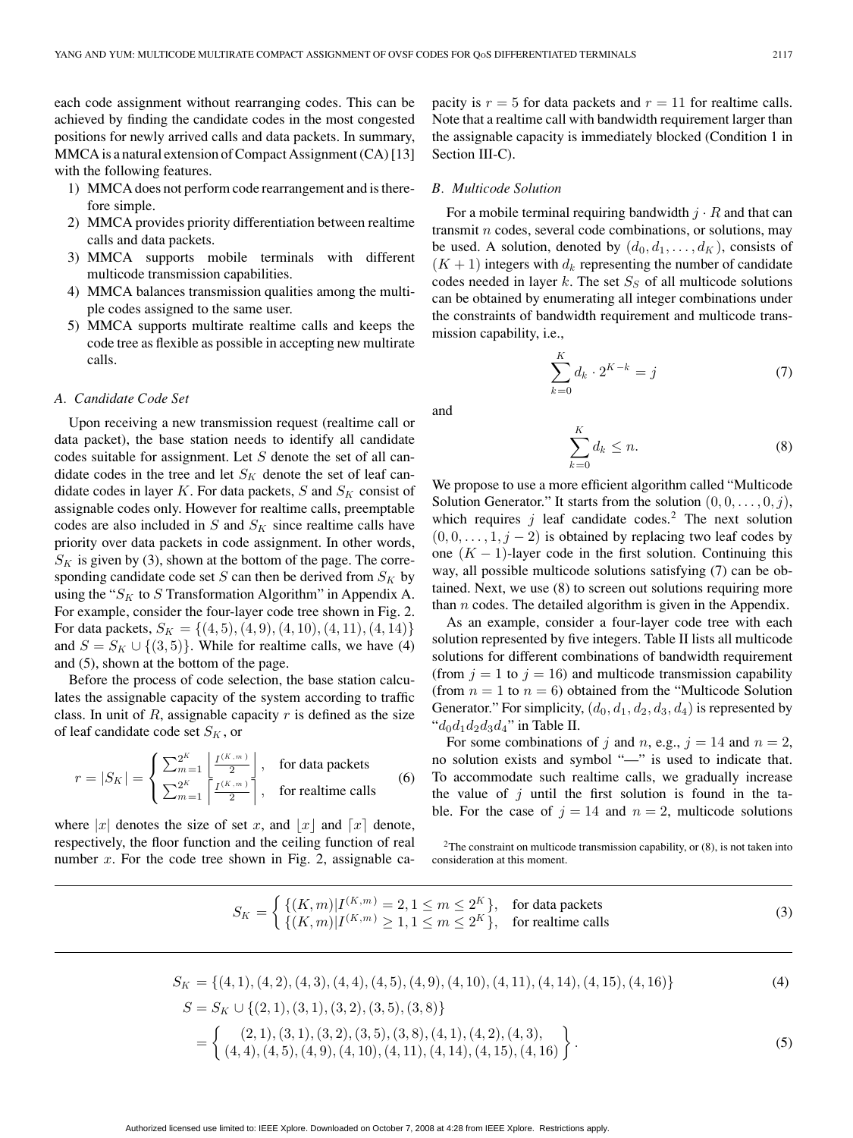each code assignment without rearranging codes. This can be achieved by finding the candidate codes in the most congested positions for newly arrived calls and data packets. In summary, MMCA is a natural extension of Compact Assignment (CA) [13] with the following features.

- 1) MMCA does not perform code rearrangement and is therefore simple.
- 2) MMCA provides priority differentiation between realtime calls and data packets.
- 3) MMCA supports mobile terminals with different multicode transmission capabilities.
- 4) MMCA balances transmission qualities among the multiple codes assigned to the same user.
- 5) MMCA supports multirate realtime calls and keeps the code tree as flexible as possible in accepting new multirate calls.

# *A. Candidate Code Set*

Upon receiving a new transmission request (realtime call or data packet), the base station needs to identify all candidate codes suitable for assignment. Let  $S$  denote the set of all candidate codes in the tree and let  $S_K$  denote the set of leaf candidate codes in layer K. For data packets, S and  $S_K$  consist of assignable codes only. However for realtime calls, preemptable codes are also included in  $S$  and  $S<sub>K</sub>$  since realtime calls have priority over data packets in code assignment. In other words,  $S_K$  is given by (3), shown at the bottom of the page. The corresponding candidate code set  $S$  can then be derived from  $S_K$  by using the " $S_K$  to S Transformation Algorithm" in Appendix A. For example, consider the four-layer code tree shown in Fig. 2. For data packets,  $S_K = \{(4, 5), (4, 9), (4, 10), (4, 11), (4, 14)\}\$ and  $S = S_K \cup \{(3, 5)\}\.$  While for realtime calls, we have (4) and (5), shown at the bottom of the page.

Before the process of code selection, the base station calculates the assignable capacity of the system according to traffic class. In unit of  $R$ , assignable capacity  $r$  is defined as the size of leaf candidate code set  $S_K$ , or

$$
r = |S_K| = \begin{cases} \sum_{m=1}^{2^K} \left| \frac{I^{(K,m)}}{2} \right|, & \text{for data packets} \\ \sum_{m=1}^{2^K} \left| \frac{I^{(K,m)}}{2} \right|, & \text{for relative calls} \end{cases}
$$
(6)

where |x| denotes the size of set x, and |x| and  $\lceil x \rceil$  denote, respectively, the floor function and the ceiling function of real number  $x$ . For the code tree shown in Fig. 2, assignable capacity is  $r = 5$  for data packets and  $r = 11$  for realtime calls. Note that a realtime call with bandwidth requirement larger than the assignable capacity is immediately blocked (Condition 1 in Section III-C).

#### *B. Multicode Solution*

For a mobile terminal requiring bandwidth  $j \cdot R$  and that can transmit  $n$  codes, several code combinations, or solutions, may be used. A solution, denoted by  $(d_0, d_1, \ldots, d_K)$ , consists of  $(K + 1)$  integers with  $d_k$  representing the number of candidate codes needed in layer  $k$ . The set  $S<sub>S</sub>$  of all multicode solutions can be obtained by enumerating all integer combinations under the constraints of bandwidth requirement and multicode transmission capability, i.e.,

$$
\sum_{k=0}^{K} d_k \cdot 2^{K-k} = j \tag{7}
$$

and

$$
\sum_{k=0}^{K} d_k \le n.
$$
\n(8)

We propose to use a more efficient algorithm called "Multicode Solution Generator." It starts from the solution  $(0, 0, \ldots, 0, j)$ , which requires  $j$  leaf candidate codes.<sup>2</sup> The next solution  $(0, 0, \ldots, 1, j - 2)$  is obtained by replacing two leaf codes by one  $(K - 1)$ -layer code in the first solution. Continuing this way, all possible multicode solutions satisfying (7) can be obtained. Next, we use (8) to screen out solutions requiring more than  $n$  codes. The detailed algorithm is given in the Appendix.

As an example, consider a four-layer code tree with each solution represented by five integers. Table II lists all multicode solutions for different combinations of bandwidth requirement (from  $j = 1$  to  $j = 16$ ) and multicode transmission capability (from  $n = 1$  to  $n = 6$ ) obtained from the "Multicode Solution" Generator." For simplicity,  $(d_0, d_1, d_2, d_3, d_4)$  is represented by " $d_0d_1d_2d_3d_4$ " in Table II.

For some combinations of j and n, e.g.,  $j = 14$  and  $n = 2$ , no solution exists and symbol "—" is used to indicate that. To accommodate such realtime calls, we gradually increase the value of  $j$  until the first solution is found in the table. For the case of  $j = 14$  and  $n = 2$ , multicode solutions

 $2$ The constraint on multicode transmission capability, or  $(8)$ , is not taken into consideration at this moment.

$$
S_K = \begin{cases} \{(K,m)|I^{(K,m)} = 2, 1 \le m \le 2^K\}, & \text{for data packets} \\ \{(K,m)|I^{(K,m)} \ge 1, 1 \le m \le 2^K\}, & \text{for relative calls} \end{cases}
$$
(3)

$$
S_K = \{(4, 1), (4, 2), (4, 3), (4, 4), (4, 5), (4, 9), (4, 10), (4, 11), (4, 14), (4, 15), (4, 16)\}\
$$
\n
$$
S = S_K \cup \{(2, 1), (3, 1), (3, 2), (3, 5), (3, 8)\}\
$$
\n
$$
= \left\{ \begin{array}{l} (2, 1), (3, 1), (3, 2), (3, 5), (3, 8), (4, 1), (4, 2), (4, 3), \\ (4, 4), (4, 5), (4, 9), (4, 10), (4, 11), (4, 14), (4, 15), (4, 16) \end{array} \right\}.
$$
\n(5)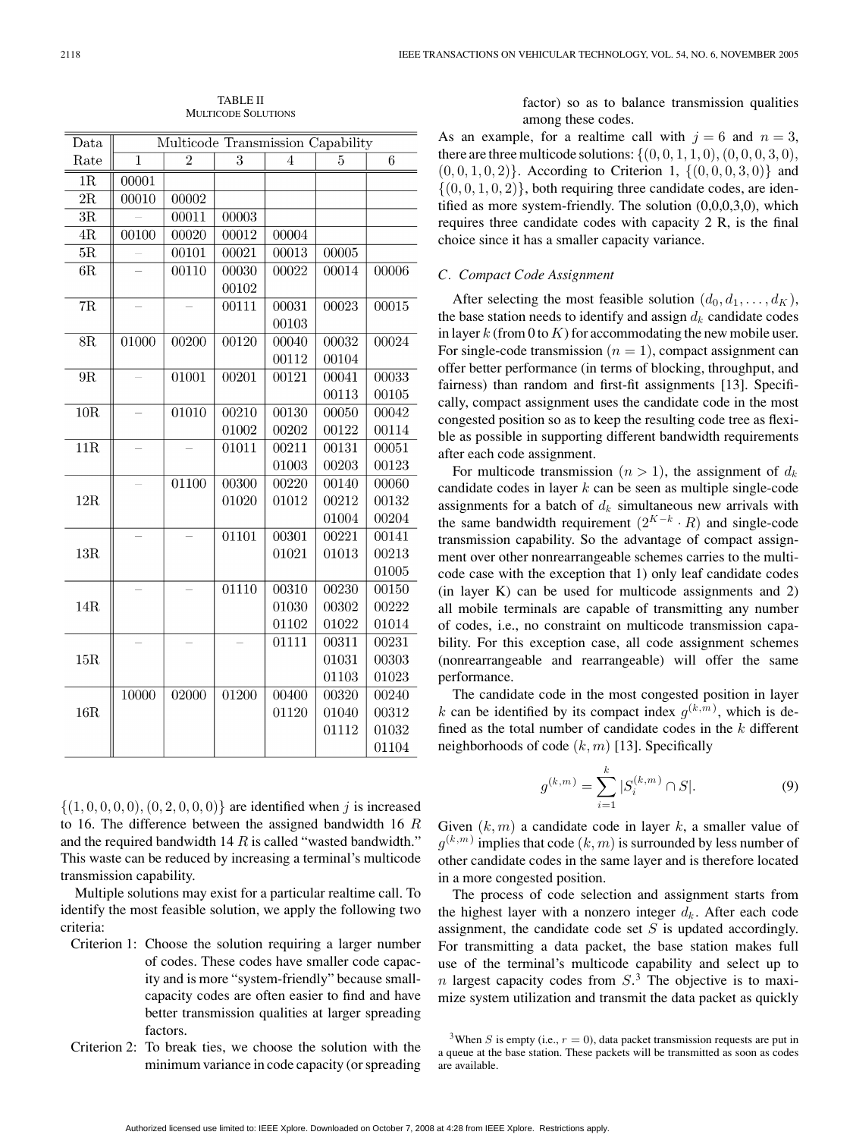| $_{\text{Data}}$ | Multicode Transmission Capability |       |                    |                    |       |       |  |
|------------------|-----------------------------------|-------|--------------------|--------------------|-------|-------|--|
| Rate             | 1                                 | 2     | 3                  | 4                  | 5     | 6     |  |
| 1R               | 00001                             |       |                    |                    |       |       |  |
| $\overline{2R}$  | 00010                             | 00002 |                    |                    |       |       |  |
| 3R               |                                   | 00011 | 00003              |                    |       |       |  |
| $\overline{4R}$  | 00100                             | 00020 | 00012              | 00004              |       |       |  |
| $\overline{5R}$  |                                   | 00101 | 00021              | 00013              | 00005 |       |  |
| 6R               |                                   | 00110 | 00030              | 00022              | 00014 | 00006 |  |
|                  |                                   |       | 00102              |                    |       |       |  |
| $\overline{7R}$  |                                   |       | 00111              | 00031              | 00023 | 00015 |  |
|                  |                                   |       |                    | 00103              |       |       |  |
| 8R               | 01000                             | 00200 | 00120              | 00040              | 00032 | 00024 |  |
|                  |                                   |       |                    | 00112              | 00104 |       |  |
| $9R$             |                                   | 01001 | 00201              | 00121              | 00041 | 00033 |  |
|                  |                                   |       |                    |                    | 00113 | 00105 |  |
| 10R              |                                   | 01010 | $\overline{00210}$ | 00130              | 00050 | 00042 |  |
|                  |                                   |       | 01002              | 00202              | 00122 | 00114 |  |
| $\overline{11R}$ |                                   |       | 01011              | 00211              | 00131 | 00051 |  |
|                  |                                   |       |                    | 01003              | 00203 | 00123 |  |
| 12R              |                                   | 01100 | 00300              | $\overline{00220}$ | 00140 | 00060 |  |
|                  |                                   |       | 01020              | 01012              | 00212 | 00132 |  |
|                  |                                   |       |                    |                    | 01004 | 00204 |  |
| 13R              |                                   |       | 01101              | 00301              | 00221 | 00141 |  |
|                  |                                   |       |                    | 01021              | 01013 | 00213 |  |
|                  |                                   |       |                    |                    |       | 01005 |  |
| 14R              |                                   |       | 01110              | 00310              | 00230 | 00150 |  |
|                  |                                   |       |                    | 01030              | 00302 | 00222 |  |
|                  |                                   |       |                    | 01102              | 01022 | 01014 |  |
| 15R              |                                   |       |                    | 01111              | 00311 | 00231 |  |
|                  |                                   |       |                    |                    | 01031 | 00303 |  |
|                  |                                   |       |                    |                    | 01103 | 01023 |  |
| 16R              | 10000                             | 02000 | $\overline{01200}$ | 00400              | 00320 | 00240 |  |
|                  |                                   |       |                    | 01120              | 01040 | 00312 |  |
|                  |                                   |       |                    |                    | 01112 | 01032 |  |
|                  |                                   |       |                    |                    |       | 01104 |  |

TABLE II MULTICODE SOLUTIONS

 $\{(1, 0, 0, 0, 0), (0, 2, 0, 0, 0)\}\$ are identified when j is increased to 16. The difference between the assigned bandwidth 16 R and the required bandwidth 14  $R$  is called "wasted bandwidth." This waste can be reduced by increasing a terminal's multicode transmission capability.

Multiple solutions may exist for a particular realtime call. To identify the most feasible solution, we apply the following two criteria:

- Criterion 1: Choose the solution requiring a larger number of codes. These codes have smaller code capacity and is more "system-friendly" because smallcapacity codes are often easier to find and have better transmission qualities at larger spreading factors.
- Criterion 2: To break ties, we choose the solution with the minimum variance in code capacity (or spreading

factor) so as to balance transmission qualities among these codes.

As an example, for a realtime call with  $j = 6$  and  $n = 3$ , there are three multicode solutions:  $\{(0, 0, 1, 1, 0), (0, 0, 0, 3, 0),\}$  $(0, 0, 1, 0, 2)$ . According to Criterion 1,  $\{(0, 0, 0, 3, 0)\}$  and  $\{(0, 0, 1, 0, 2)\}\$ , both requiring three candidate codes, are identified as more system-friendly. The solution (0,0,0,3,0), which requires three candidate codes with capacity 2 R, is the final choice since it has a smaller capacity variance.

# *C. Compact Code Assignment*

After selecting the most feasible solution  $(d_0, d_1, \ldots, d_K)$ , the base station needs to identify and assign  $d_k$  candidate codes in layer k (from 0 to K) for accommodating the new mobile user. For single-code transmission  $(n = 1)$ , compact assignment can offer better performance (in terms of blocking, throughput, and fairness) than random and first-fit assignments [13]. Specifically, compact assignment uses the candidate code in the most congested position so as to keep the resulting code tree as flexible as possible in supporting different bandwidth requirements after each code assignment.

For multicode transmission  $(n > 1)$ , the assignment of  $d_k$ candidate codes in layer  $k$  can be seen as multiple single-code assignments for a batch of  $d_k$  simultaneous new arrivals with the same bandwidth requirement  $(2^{K-k} \cdot R)$  and single-code transmission capability. So the advantage of compact assignment over other nonrearrangeable schemes carries to the multicode case with the exception that 1) only leaf candidate codes (in layer K) can be used for multicode assignments and 2) all mobile terminals are capable of transmitting any number of codes, i.e., no constraint on multicode transmission capability. For this exception case, all code assignment schemes (nonrearrangeable and rearrangeable) will offer the same performance.

The candidate code in the most congested position in layer k can be identified by its compact index  $g^{(k,m)}$ , which is defined as the total number of candidate codes in the  $k$  different neighborhoods of code  $(k, m)$  [13]. Specifically

$$
g^{(k,m)} = \sum_{i=1}^{k} |S_i^{(k,m)} \cap S|.
$$
 (9)

Given  $(k, m)$  a candidate code in layer k, a smaller value of  $g^{(k,m)}$  implies that code  $(k,m)$  is surrounded by less number of other candidate codes in the same layer and is therefore located in a more congested position.

The process of code selection and assignment starts from the highest layer with a nonzero integer  $d_k$ . After each code assignment, the candidate code set  $S$  is updated accordingly. For transmitting a data packet, the base station makes full use of the terminal's multicode capability and select up to *n* largest capacity codes from  $S<sup>3</sup>$ . The objective is to maximize system utilization and transmit the data packet as quickly

<sup>&</sup>lt;sup>3</sup>When S is empty (i.e.,  $r = 0$ ), data packet transmission requests are put in a queue at the base station. These packets will be transmitted as soon as codes are available.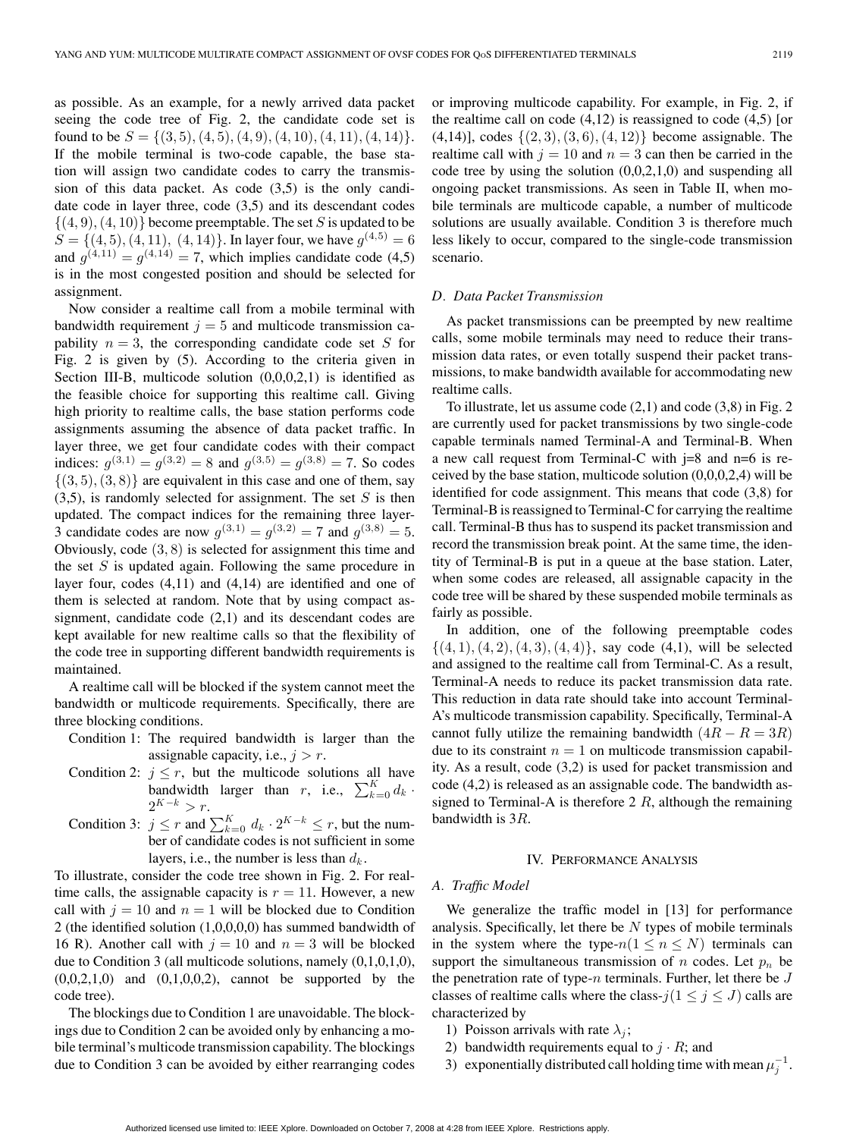as possible. As an example, for a newly arrived data packet seeing the code tree of Fig. 2, the candidate code set is found to be  $S = \{(3, 5), (4, 5), (4, 9), (4, 10), (4, 11), (4, 14)\}.$ If the mobile terminal is two-code capable, the base station will assign two candidate codes to carry the transmission of this data packet. As code (3,5) is the only candidate code in layer three, code (3,5) and its descendant codes  $\{(4, 9), (4, 10)\}\$ become preemptable. The set S is updated to be  $S = \{(4, 5), (4, 11), (4, 14)\}\$ . In layer four, we have  $g^{(4,5)} = 6$ and  $q^{(4,11)} = q^{(4,14)} = 7$ , which implies candidate code (4,5) is in the most congested position and should be selected for assignment.

Now consider a realtime call from a mobile terminal with bandwidth requirement  $j = 5$  and multicode transmission capability  $n = 3$ , the corresponding candidate code set S for Fig. 2 is given by (5). According to the criteria given in Section III-B, multicode solution  $(0,0,0,2,1)$  is identified as the feasible choice for supporting this realtime call. Giving high priority to realtime calls, the base station performs code assignments assuming the absence of data packet traffic. In layer three, we get four candidate codes with their compact indices:  $q^{(3,1)} = q^{(3,2)} = 8$  and  $q^{(3,5)} = q^{(3,8)} = 7$ . So codes  $\{(3, 5), (3, 8)\}\$ are equivalent in this case and one of them, say  $(3,5)$ , is randomly selected for assignment. The set S is then updated. The compact indices for the remaining three layer-3 candidate codes are now  $g^{(3,1)} = g^{(3,2)} = 7$  and  $g^{(3,8)} = 5$ . Obviously, code (3, 8) is selected for assignment this time and the set  $S$  is updated again. Following the same procedure in layer four, codes (4,11) and (4,14) are identified and one of them is selected at random. Note that by using compact assignment, candidate code (2,1) and its descendant codes are kept available for new realtime calls so that the flexibility of the code tree in supporting different bandwidth requirements is maintained.

A realtime call will be blocked if the system cannot meet the bandwidth or multicode requirements. Specifically, there are three blocking conditions.

- Condition 1: The required bandwidth is larger than the assignable capacity, i.e.,  $j > r$ .
- Condition 2:  $j \leq r$ , but the multicode solutions all have bandwidth larger than r, i.e.,  $\sum_{k=0}^{K} d_k$ .  $2^{K-k} > r$ .
- Condition 3:  $j \leq r$  and  $\sum_{k=0}^{K} d_k \cdot 2^{K-k} \leq r$ , but the number of candidate codes is not sufficient in some layers, i.e., the number is less than  $d_k$ .

To illustrate, consider the code tree shown in Fig. 2. For realtime calls, the assignable capacity is  $r = 11$ . However, a new call with  $j = 10$  and  $n = 1$  will be blocked due to Condition 2 (the identified solution (1,0,0,0,0) has summed bandwidth of 16 R). Another call with  $j = 10$  and  $n = 3$  will be blocked due to Condition 3 (all multicode solutions, namely (0,1,0,1,0),  $(0,0,2,1,0)$  and  $(0,1,0,0,2)$ , cannot be supported by the code tree).

The blockings due to Condition 1 are unavoidable. The blockings due to Condition 2 can be avoided only by enhancing a mobile terminal's multicode transmission capability. The blockings due to Condition 3 can be avoided by either rearranging codes or improving multicode capability. For example, in Fig. 2, if the realtime call on code  $(4,12)$  is reassigned to code  $(4,5)$  [or  $(4,14)$ ], codes  $\{(2,3), (3,6), (4,12)\}\)$  become assignable. The realtime call with  $j = 10$  and  $n = 3$  can then be carried in the code tree by using the solution  $(0,0,2,1,0)$  and suspending all ongoing packet transmissions. As seen in Table II, when mobile terminals are multicode capable, a number of multicode solutions are usually available. Condition 3 is therefore much less likely to occur, compared to the single-code transmission scenario.

#### *D. Data Packet Transmission*

As packet transmissions can be preempted by new realtime calls, some mobile terminals may need to reduce their transmission data rates, or even totally suspend their packet transmissions, to make bandwidth available for accommodating new realtime calls.

To illustrate, let us assume code  $(2,1)$  and code  $(3,8)$  in Fig. 2 are currently used for packet transmissions by two single-code capable terminals named Terminal-A and Terminal-B. When a new call request from Terminal-C with  $j=8$  and  $n=6$  is received by the base station, multicode solution  $(0,0,0,2,4)$  will be identified for code assignment. This means that code (3,8) for Terminal-B is reassigned to Terminal-C for carrying the realtime call. Terminal-B thus has to suspend its packet transmission and record the transmission break point. At the same time, the identity of Terminal-B is put in a queue at the base station. Later, when some codes are released, all assignable capacity in the code tree will be shared by these suspended mobile terminals as fairly as possible.

In addition, one of the following preemptable codes  $\{(4, 1), (4, 2), (4, 3), (4, 4)\}$ , say code (4,1), will be selected and assigned to the realtime call from Terminal-C. As a result, Terminal-A needs to reduce its packet transmission data rate. This reduction in data rate should take into account Terminal-A's multicode transmission capability. Specifically, Terminal-A cannot fully utilize the remaining bandwidth  $(4R - R = 3R)$ due to its constraint  $n = 1$  on multicode transmission capability. As a result, code (3,2) is used for packet transmission and code (4,2) is released as an assignable code. The bandwidth assigned to Terminal-A is therefore  $2 R$ , although the remaining bandwidth is 3R.

#### IV. PERFORMANCE ANALYSIS

#### *A. Traffic Model*

We generalize the traffic model in [13] for performance analysis. Specifically, let there be  $N$  types of mobile terminals in the system where the type- $n(1 \le n \le N)$  terminals can support the simultaneous transmission of n codes. Let  $p_n$  be the penetration rate of type- $n$  terminals. Further, let there be  $J$ classes of realtime calls where the class- $j(1 \le j \le J)$  calls are characterized by

- 1) Poisson arrivals with rate  $\lambda_i$ ;
- 2) bandwidth requirements equal to  $j \cdot R$ ; and
- 3) exponentially distributed call holding time with mean  $\mu_j^{-1}$ .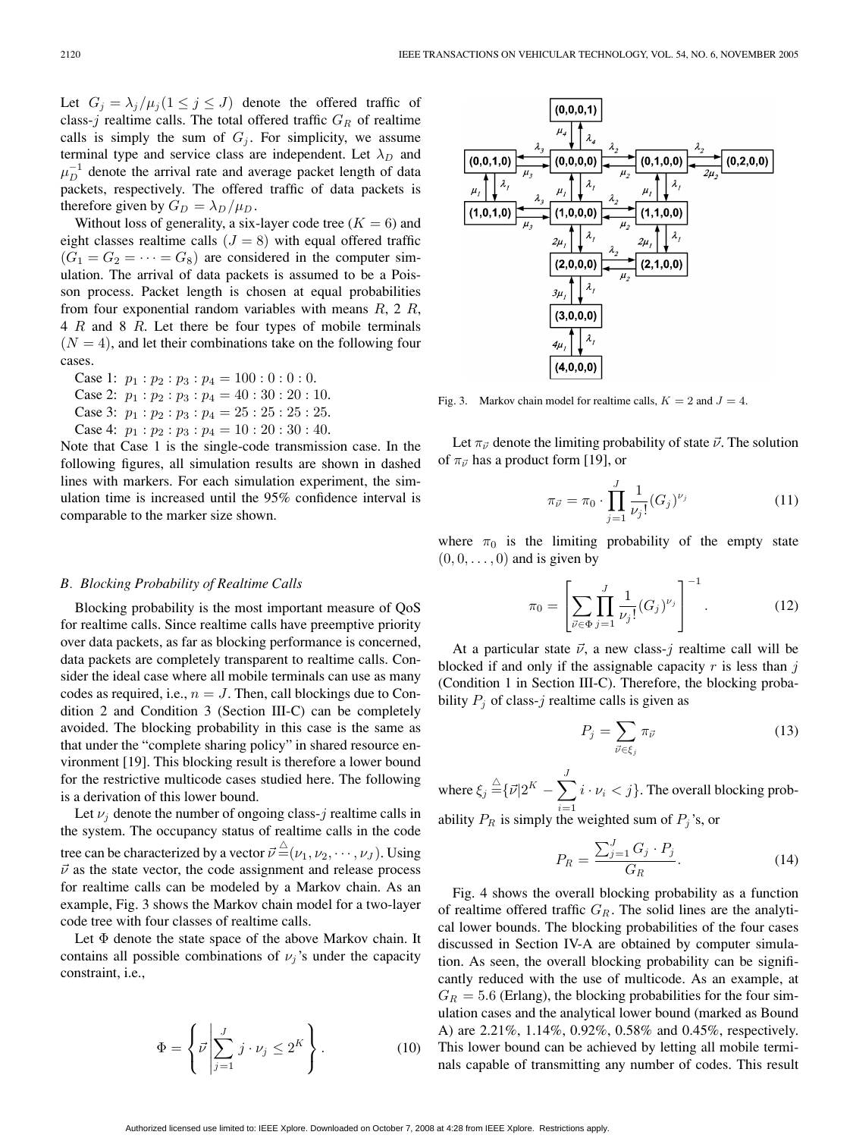Let  $G_j = \lambda_j / \mu_j (1 \leq j \leq J)$  denote the offered traffic of class-j realtime calls. The total offered traffic  $G_R$  of realtime calls is simply the sum of  $G_j$ . For simplicity, we assume terminal type and service class are independent. Let  $\lambda_D$  and  $\mu_D^{-1}$  denote the arrival rate and average packet length of data packets, respectively. The offered traffic of data packets is therefore given by  $G_D = \lambda_D / \mu_D$ .

Without loss of generality, a six-layer code tree  $(K = 6)$  and eight classes realtime calls  $(J = 8)$  with equal offered traffic  $(G_1 = G_2 = \cdots = G_8)$  are considered in the computer simulation. The arrival of data packets is assumed to be a Poisson process. Packet length is chosen at equal probabilities from four exponential random variables with means  $R$ , 2  $R$ , 4 R and 8 R. Let there be four types of mobile terminals  $(N = 4)$ , and let their combinations take on the following four cases.

Case 1:  $p_1 : p_2 : p_3 : p_4 = 100 : 0 : 0 : 0$ . Case 2:  $p_1 : p_2 : p_3 : p_4 = 40 : 30 : 20 : 10$ . Case 3:  $p_1 : p_2 : p_3 : p_4 = 25 : 25 : 25 : 25$ . Case 4:  $p_1 : p_2 : p_3 : p_4 = 10 : 20 : 30 : 40$ .

Note that Case 1 is the single-code transmission case. In the following figures, all simulation results are shown in dashed lines with markers. For each simulation experiment, the simulation time is increased until the 95% confidence interval is comparable to the marker size shown.

# *B. Blocking Probability of Realtime Calls*

Blocking probability is the most important measure of QoS for realtime calls. Since realtime calls have preemptive priority over data packets, as far as blocking performance is concerned, data packets are completely transparent to realtime calls. Consider the ideal case where all mobile terminals can use as many codes as required, i.e.,  $n = J$ . Then, call blockings due to Condition 2 and Condition 3 (Section III-C) can be completely avoided. The blocking probability in this case is the same as that under the "complete sharing policy" in shared resource environment [19]. This blocking result is therefore a lower bound for the restrictive multicode cases studied here. The following is a derivation of this lower bound.

Let  $\nu_i$  denote the number of ongoing class-j realtime calls in the system. The occupancy status of realtime calls in the code tree can be characterized by a vector  $\vec{\nu} \!\stackrel{\triangle}{=} \!\! (\nu_1, \nu_2, \cdots, \nu_J) .$  Using  $\vec{v}$  as the state vector, the code assignment and release process for realtime calls can be modeled by a Markov chain. As an example, Fig. 3 shows the Markov chain model for a two-layer code tree with four classes of realtime calls.

Let Φ denote the state space of the above Markov chain. It contains all possible combinations of  $\nu_i$ 's under the capacity constraint, i.e.,

$$
\Phi = \left\{ \vec{\nu} \middle| \sum_{j=1}^{J} j \cdot \nu_j \leq 2^K \right\}.
$$
\n(10)



Fig. 3. Markov chain model for realtime calls,  $K = 2$  and  $J = 4$ .

Let  $\pi_{\vec{\nu}}$  denote the limiting probability of state  $\vec{\nu}$ . The solution of  $\pi_{\vec{\nu}}$  has a product form [19], or

$$
\pi_{\vec{\nu}} = \pi_0 \cdot \prod_{j=1}^{J} \frac{1}{\nu_j!} (G_j)^{\nu_j} \tag{11}
$$

where  $\pi_0$  is the limiting probability of the empty state  $(0, 0, \ldots, 0)$  and is given by

$$
\pi_0 = \left[ \sum_{\vec{\nu} \in \Phi} \prod_{j=1}^J \frac{1}{\nu_j!} (G_j)^{\nu_j} \right]^{-1}.
$$
 (12)

At a particular state  $\vec{v}$ , a new class-j realtime call will be blocked if and only if the assignable capacity  $r$  is less than  $j$ (Condition 1 in Section III-C). Therefore, the blocking probability  $P_i$  of class-j realtime calls is given as

$$
P_j = \sum_{\vec{\nu} \in \xi_j} \pi_{\vec{\nu}} \tag{13}
$$

where  $\xi_j \stackrel{\triangle}{=} \{ \vec{\nu} | 2^K - \sum \}$ J  $i=1$  $i \cdot \nu_i < j$ . The overall blocking probability  $P_R$  is simply the weighted sum of  $P_j$ 's, or

$$
P_R = \frac{\sum_{j=1}^{J} G_j \cdot P_j}{G_R}.
$$
\n
$$
(14)
$$

Fig. 4 shows the overall blocking probability as a function of realtime offered traffic  $G_R$ . The solid lines are the analytical lower bounds. The blocking probabilities of the four cases discussed in Section IV-A are obtained by computer simulation. As seen, the overall blocking probability can be significantly reduced with the use of multicode. As an example, at  $G_R = 5.6$  (Erlang), the blocking probabilities for the four simulation cases and the analytical lower bound (marked as Bound A) are 2.21%, 1.14%, 0.92%, 0.58% and 0.45%, respectively. This lower bound can be achieved by letting all mobile terminals capable of transmitting any number of codes. This result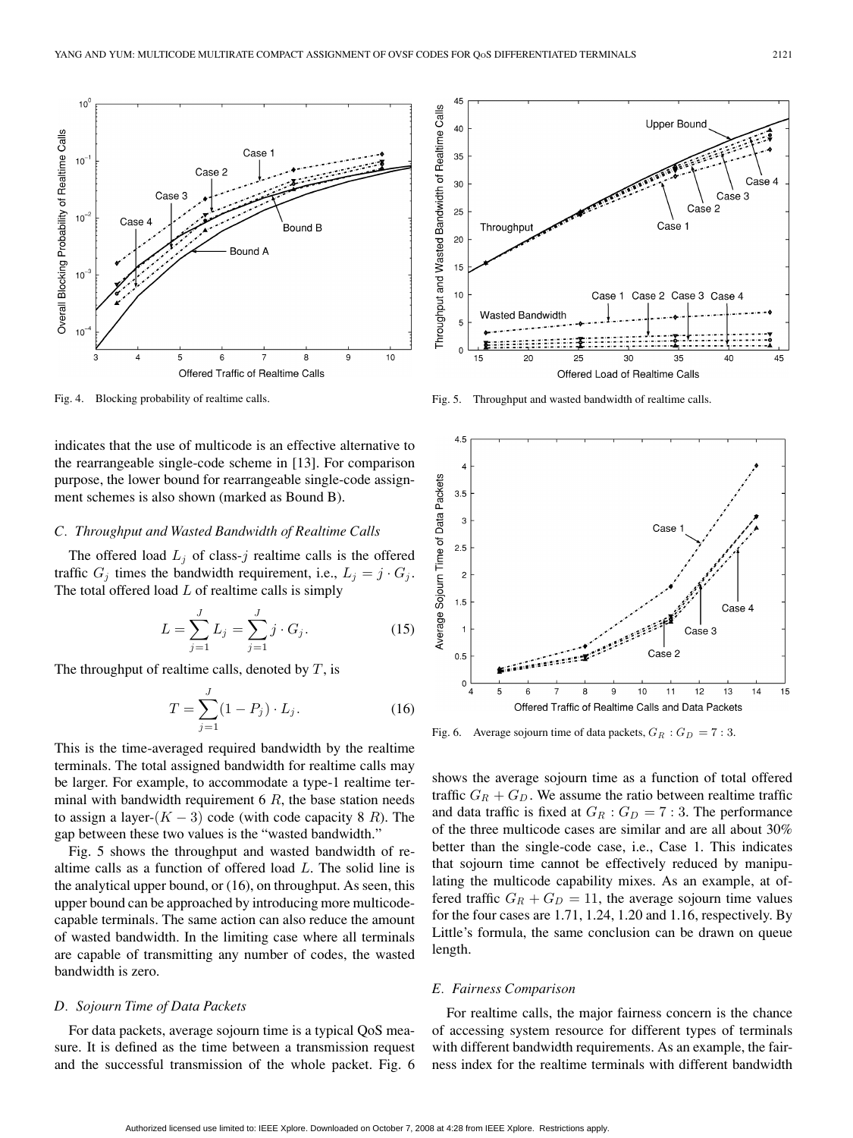

Fig. 4. Blocking probability of realtime calls.

indicates that the use of multicode is an effective alternative to the rearrangeable single-code scheme in [13]. For comparison purpose, the lower bound for rearrangeable single-code assignment schemes is also shown (marked as Bound B).

# *C. Throughput and Wasted Bandwidth of Realtime Calls*

The offered load  $L_j$  of class-j realtime calls is the offered traffic  $G_j$  times the bandwidth requirement, i.e.,  $L_j = j \cdot G_j$ . The total offered load  $L$  of realtime calls is simply

$$
L = \sum_{j=1}^{J} L_j = \sum_{j=1}^{J} j \cdot G_j.
$$
 (15)

The throughput of realtime calls, denoted by  $T$ , is

$$
T = \sum_{j=1}^{J} (1 - P_j) \cdot L_j.
$$
 (16)

This is the time-averaged required bandwidth by the realtime terminals. The total assigned bandwidth for realtime calls may be larger. For example, to accommodate a type-1 realtime terminal with bandwidth requirement  $6 R$ , the base station needs to assign a layer- $(K - 3)$  code (with code capacity 8 R). The gap between these two values is the "wasted bandwidth."

Fig. 5 shows the throughput and wasted bandwidth of realtime calls as a function of offered load L. The solid line is the analytical upper bound, or (16), on throughput. As seen, this upper bound can be approached by introducing more multicodecapable terminals. The same action can also reduce the amount of wasted bandwidth. In the limiting case where all terminals are capable of transmitting any number of codes, the wasted bandwidth is zero.

#### *D. Sojourn Time of Data Packets*

For data packets, average sojourn time is a typical QoS measure. It is defined as the time between a transmission request and the successful transmission of the whole packet. Fig. 6



Fig. 5. Throughput and wasted bandwidth of realtime calls.



Fig. 6. Average sojourn time of data packets,  $G_R : G_D = 7:3$ .

shows the average sojourn time as a function of total offered traffic  $G_R + G_D$ . We assume the ratio between realtime traffic and data traffic is fixed at  $G_R$ :  $G_D = 7:3$ . The performance of the three multicode cases are similar and are all about 30% better than the single-code case, i.e., Case 1. This indicates that sojourn time cannot be effectively reduced by manipulating the multicode capability mixes. As an example, at offered traffic  $G_R + G_D = 11$ , the average sojourn time values for the four cases are 1.71, 1.24, 1.20 and 1.16, respectively. By Little's formula, the same conclusion can be drawn on queue length.

## *E. Fairness Comparison*

For realtime calls, the major fairness concern is the chance of accessing system resource for different types of terminals with different bandwidth requirements. As an example, the fairness index for the realtime terminals with different bandwidth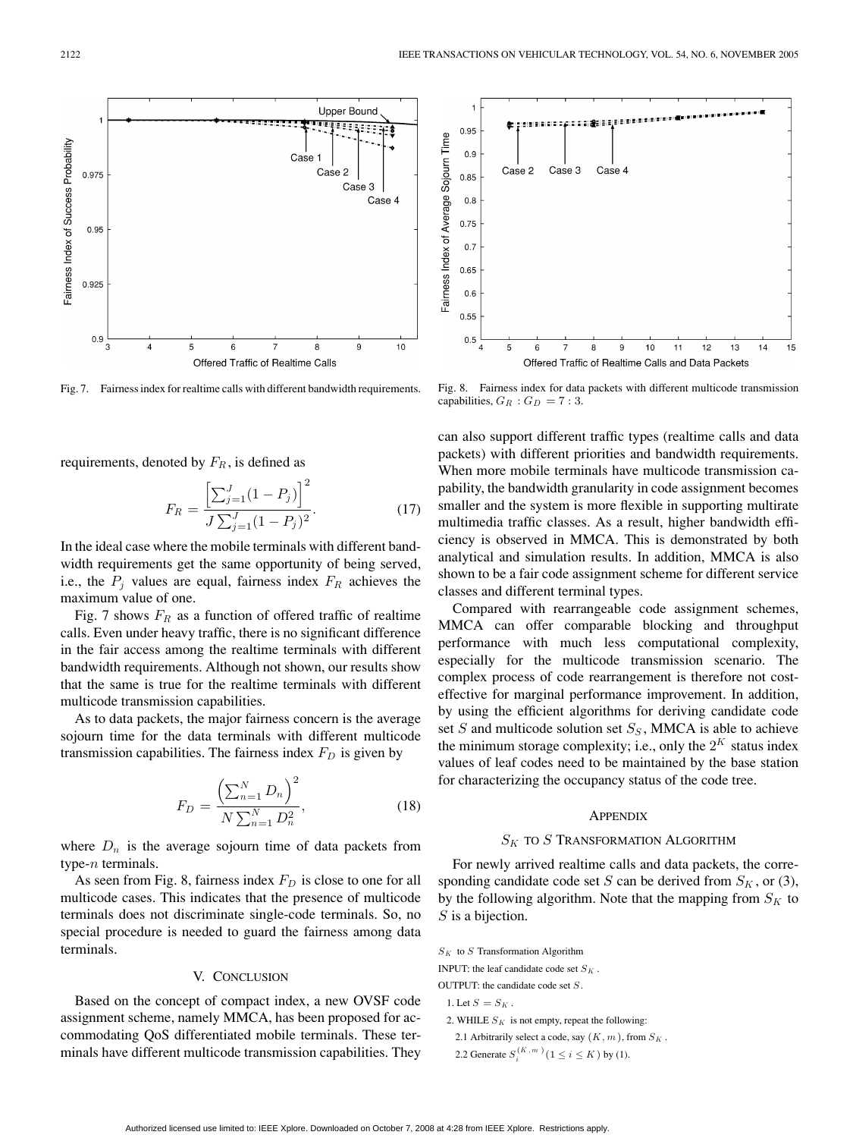

Fig. 7. Fairness index for realtime calls with different bandwidth requirements.

requirements, denoted by  $F_R$ , is defined as

$$
F_R = \frac{\left[\sum_{j=1}^{J} (1 - P_j)\right]^2}{J \sum_{j=1}^{J} (1 - P_j)^2}.
$$
\n(17)

In the ideal case where the mobile terminals with different bandwidth requirements get the same opportunity of being served, i.e., the  $P_j$  values are equal, fairness index  $F_R$  achieves the maximum value of one.

Fig. 7 shows  $F_R$  as a function of offered traffic of realtime calls. Even under heavy traffic, there is no significant difference in the fair access among the realtime terminals with different bandwidth requirements. Although not shown, our results show that the same is true for the realtime terminals with different multicode transmission capabilities.

As to data packets, the major fairness concern is the average sojourn time for the data terminals with different multicode transmission capabilities. The fairness index  $F<sub>D</sub>$  is given by

$$
F_D = \frac{\left(\sum_{n=1}^{N} D_n\right)^2}{N \sum_{n=1}^{N} D_n^2},\tag{18}
$$

where  $D_n$  is the average sojourn time of data packets from type- $n$  terminals.

As seen from Fig. 8, fairness index  $F_D$  is close to one for all multicode cases. This indicates that the presence of multicode terminals does not discriminate single-code terminals. So, no special procedure is needed to guard the fairness among data terminals.

## V. CONCLUSION

Based on the concept of compact index, a new OVSF code assignment scheme, namely MMCA, has been proposed for accommodating QoS differentiated mobile terminals. These terminals have different multicode transmission capabilities. They



Fig. 8. Fairness index for data packets with different multicode transmission capabilities,  $G_R : G_D = 7:3$ .

can also support different traffic types (realtime calls and data packets) with different priorities and bandwidth requirements. When more mobile terminals have multicode transmission capability, the bandwidth granularity in code assignment becomes smaller and the system is more flexible in supporting multirate multimedia traffic classes. As a result, higher bandwidth efficiency is observed in MMCA. This is demonstrated by both analytical and simulation results. In addition, MMCA is also shown to be a fair code assignment scheme for different service classes and different terminal types.

Compared with rearrangeable code assignment schemes, MMCA can offer comparable blocking and throughput performance with much less computational complexity, especially for the multicode transmission scenario. The complex process of code rearrangement is therefore not costeffective for marginal performance improvement. In addition, by using the efficient algorithms for deriving candidate code set  $S$  and multicode solution set  $S_S$ , MMCA is able to achieve the minimum storage complexity; i.e., only the  $2^{K}$  status index values of leaf codes need to be maintained by the base station for characterizing the occupancy status of the code tree.

#### **APPENDIX**

#### $S_K$  to S Transformation Algorithm

For newly arrived realtime calls and data packets, the corresponding candidate code set S can be derived from  $S_K$ , or (3), by the following algorithm. Note that the mapping from  $S_K$  to S is a bijection.

 $S_K$  to S Transformation Algorithm

INPUT: the leaf candidate code set  $S<sub>K</sub>$ .

OUTPUT: the candidate code set S.

- 1. Let  $S = S_K$ .
- 2. WHILE  $S_K$  is not empty, repeat the following:
- 2.1 Arbitrarily select a code, say  $(K, m)$ , from  $S_K$ .

2.2 Generate  $S_i^{(K, m)}$  ( $1 \le i \le K$ ) by (1).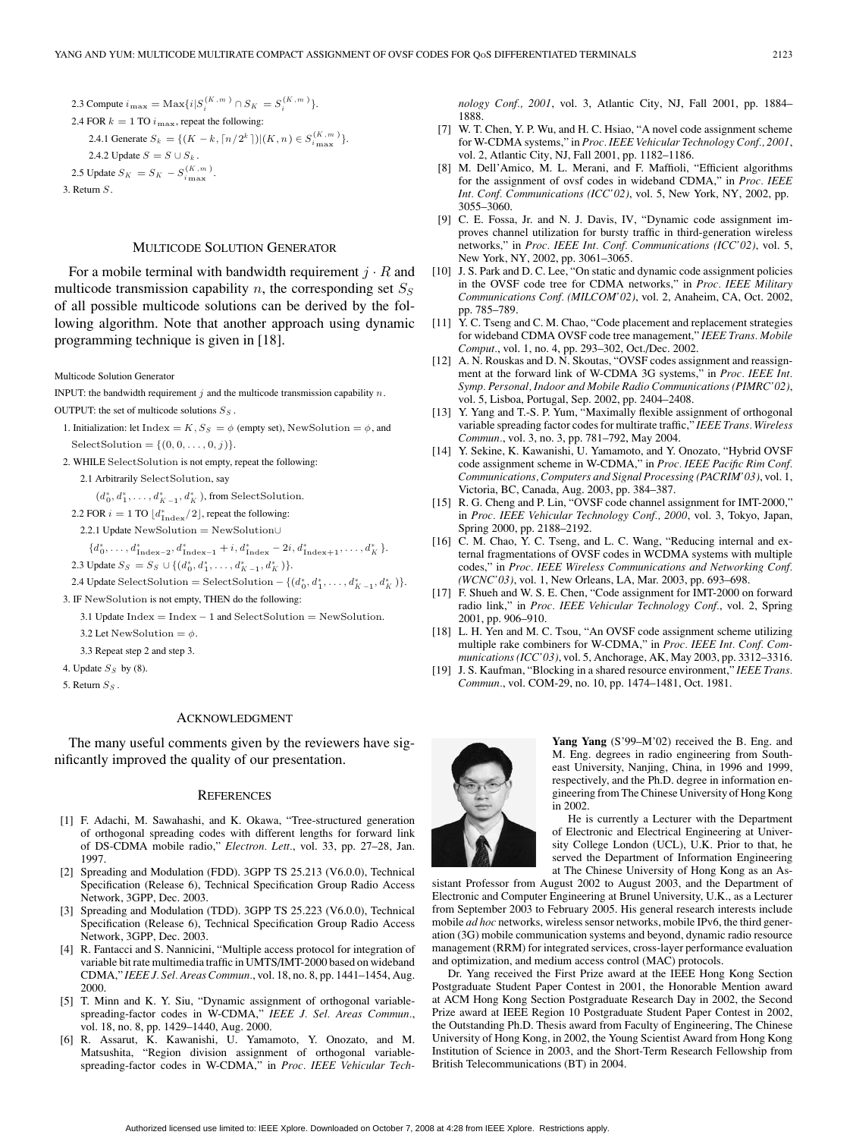# MULTICODE SOLUTION GENERATOR

For a mobile terminal with bandwidth requirement  $j \cdot R$  and multicode transmission capability n, the corresponding set  $S<sub>S</sub>$ of all possible multicode solutions can be derived by the following algorithm. Note that another approach using dynamic programming technique is given in [18].

Multicode Solution Generator

INPUT: the bandwidth requirement  $j$  and the multicode transmission capability  $n$ . OUTPUT: the set of multicode solutions  $S_S$ .

- 1. Initialization: let Index = K,  $S_S = \phi$  (empty set), NewSolution =  $\phi$ , and SelectSolution =  $\{(0, 0, \ldots, 0, j)\}.$
- 2. WHILE SelectSolution is not empty, repeat the following:

2.1 Arbitrarily SelectSolution, say

 $(d_0^*, d_1^*, \ldots, d_{K-1}^*, d_K^*)$ , from SelectSolution.

- 2.2 FOR  $i = 1$  TO  $\lfloor d_{\text{Index}}^*/2 \rfloor$ , repeat the following:
- 2.2.1 Update NewSolution = NewSolution∪

 ${d_0^*, \ldots, d_{\text{Index}-2}^*, d_{\text{Index}-1}^* + i, d_{\text{Index}}^* - 2i, d_{\text{Index}+1}^*, \ldots, d_K^*}.$ 2.3 Update  $S_S = S_S \cup \{(d_0^*, d_1^*, \ldots, d_{K-1}^*, d_K^*)\}.$ 

2.4 Update SelectSolution = SelectSolution -  $\{(d_0^*, d_1^*, \ldots, d_{K-1}^*, d_K^*)\}.$ 

3. IF NewSolution is not empty, THEN do the following:

3.1 Update Index = Index − 1 and SelectSolution = NewSolution.

3.2 Let NewSolution =  $\phi$ .

3.3 Repeat step 2 and step 3.

- 4. Update  $S_S$  by (8).
- 5. Return  $S_S$ .

#### ACKNOWLEDGMENT

The many useful comments given by the reviewers have significantly improved the quality of our presentation.

#### **REFERENCES**

- [1] F. Adachi, M. Sawahashi, and K. Okawa, "Tree-structured generation of orthogonal spreading codes with different lengths for forward link of DS-CDMA mobile radio," *Electron. Lett.*, vol. 33, pp. 27–28, Jan. 1997.
- [2] Spreading and Modulation (FDD). 3GPP TS 25.213 (V6.0.0), Technical Specification (Release 6), Technical Specification Group Radio Access Network, 3GPP, Dec. 2003.
- [3] Spreading and Modulation (TDD). 3GPP TS 25.223 (V6.0.0), Technical Specification (Release 6), Technical Specification Group Radio Access Network, 3GPP, Dec. 2003.
- [4] R. Fantacci and S. Nannicini, "Multiple access protocol for integration of variable bit rate multimedia traffic in UMTS/IMT-2000 based on wideband CDMA," *IEEE J. Sel. Areas Commun.*, vol. 18, no. 8, pp. 1441–1454, Aug. 2000.
- [5] T. Minn and K. Y. Siu, "Dynamic assignment of orthogonal variablespreading-factor codes in W-CDMA," *IEEE J. Sel. Areas Commun.*, vol. 18, no. 8, pp. 1429–1440, Aug. 2000.
- [6] R. Assarut, K. Kawanishi, U. Yamamoto, Y. Onozato, and M. Matsushita, "Region division assignment of orthogonal variablespreading-factor codes in W-CDMA," in *Proc. IEEE Vehicular Tech-*

*nology Conf., 2001*, vol. 3, Atlantic City, NJ, Fall 2001, pp. 1884– 1888.

- [7] W. T. Chen, Y. P. Wu, and H. C. Hsiao, "A novel code assignment scheme for W-CDMA systems," in *Proc. IEEE Vehicular Technology Conf., 2001*, vol. 2, Atlantic City, NJ, Fall 2001, pp. 1182–1186.
- [8] M. Dell'Amico, M. L. Merani, and F. Maffioli, "Efficient algorithms for the assignment of ovsf codes in wideband CDMA," in *Proc. IEEE Int. Conf. Communications (ICC'02)*, vol. 5, New York, NY, 2002, pp. 3055–3060.
- [9] C. E. Fossa, Jr. and N. J. Davis, IV, "Dynamic code assignment improves channel utilization for bursty traffic in third-generation wireless networks," in *Proc. IEEE Int. Conf. Communications (ICC'02)*, vol. 5, New York, NY, 2002, pp. 3061–3065.
- [10] J. S. Park and D. C. Lee, "On static and dynamic code assignment policies in the OVSF code tree for CDMA networks," in *Proc. IEEE Military Communications Conf. (MILCOM'02)*, vol. 2, Anaheim, CA, Oct. 2002, pp. 785–789.
- [11] Y. C. Tseng and C. M. Chao, "Code placement and replacement strategies for wideband CDMA OVSF code tree management," *IEEE Trans. Mobile Comput.*, vol. 1, no. 4, pp. 293–302, Oct./Dec. 2002.
- [12] A. N. Rouskas and D. N. Skoutas, "OVSF codes assignment and reassignment at the forward link of W-CDMA 3G systems," in *Proc. IEEE Int. Symp. Personal, Indoor and Mobile Radio Communications (PIMRC'02)*, vol. 5, Lisboa, Portugal, Sep. 2002, pp. 2404–2408.
- [13] Y. Yang and T.-S. P. Yum, "Maximally flexible assignment of orthogonal variable spreading factor codes for multirate traffic," *IEEE Trans. Wireless Commun.*, vol. 3, no. 3, pp. 781–792, May 2004.
- [14] Y. Sekine, K. Kawanishi, U. Yamamoto, and Y. Onozato, "Hybrid OVSF code assignment scheme in W-CDMA," in *Proc. IEEE Pacific Rim Conf. Communications, Computers and Signal Processing (PACRIM'03)*, vol. 1, Victoria, BC, Canada, Aug. 2003, pp. 384–387.
- [15] R. G. Cheng and P. Lin, "OVSF code channel assignment for IMT-2000," in *Proc. IEEE Vehicular Technology Conf., 2000*, vol. 3, Tokyo, Japan, Spring 2000, pp. 2188–2192.
- [16] C. M. Chao, Y. C. Tseng, and L. C. Wang, "Reducing internal and external fragmentations of OVSF codes in WCDMA systems with multiple codes," in *Proc. IEEE Wireless Communications and Networking Conf. (WCNC'03)*, vol. 1, New Orleans, LA, Mar. 2003, pp. 693–698.
- [17] F. Shueh and W. S. E. Chen, "Code assignment for IMT-2000 on forward radio link," in *Proc. IEEE Vehicular Technology Conf.*, vol. 2, Spring 2001, pp. 906–910.
- [18] L. H. Yen and M. C. Tsou, "An OVSF code assignment scheme utilizing multiple rake combiners for W-CDMA," in *Proc. IEEE Int. Conf. Communications (ICC'03)*, vol. 5, Anchorage, AK, May 2003, pp. 3312–3316.
- [19] J. S. Kaufman, "Blocking in a shared resource environment," *IEEE Trans. Commun.*, vol. COM-29, no. 10, pp. 1474–1481, Oct. 1981.



**Yang Yang** (S'99–M'02) received the B. Eng. and M. Eng. degrees in radio engineering from Southeast University, Nanjing, China, in 1996 and 1999, respectively, and the Ph.D. degree in information engineering from The Chinese University of Hong Kong in 2002.

He is currently a Lecturer with the Department of Electronic and Electrical Engineering at University College London (UCL), U.K. Prior to that, he served the Department of Information Engineering at The Chinese University of Hong Kong as an As-

sistant Professor from August 2002 to August 2003, and the Department of Electronic and Computer Engineering at Brunel University, U.K., as a Lecturer from September 2003 to February 2005. His general research interests include mobile *ad hoc* networks, wireless sensor networks, mobile IPv6, the third generation (3G) mobile communication systems and beyond, dynamic radio resource management (RRM) for integrated services, cross-layer performance evaluation and optimization, and medium access control (MAC) protocols.

Dr. Yang received the First Prize award at the IEEE Hong Kong Section Postgraduate Student Paper Contest in 2001, the Honorable Mention award at ACM Hong Kong Section Postgraduate Research Day in 2002, the Second Prize award at IEEE Region 10 Postgraduate Student Paper Contest in 2002, the Outstanding Ph.D. Thesis award from Faculty of Engineering, The Chinese University of Hong Kong, in 2002, the Young Scientist Award from Hong Kong Institution of Science in 2003, and the Short-Term Research Fellowship from British Telecommunications (BT) in 2004.